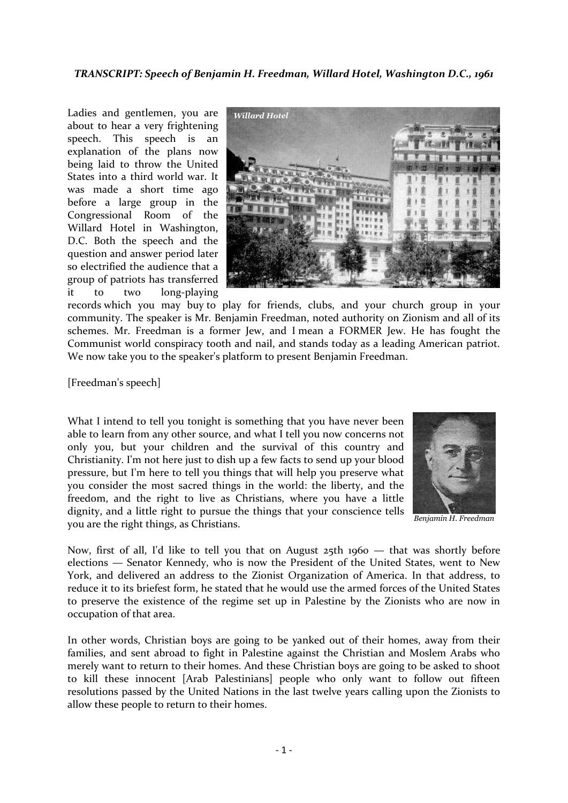Ladies and gentlemen, you are about to hear a very frightening speech. This speech is an explanation of the plans now being laid to throw the United States into a third world war. It was made a short time ago before a large group in the Congressional Room of the Willard Hotel in Washington, D.C. Both the speech and the question and answer period later so electrified the audience that a group of patriots has transferred it to two long-playing



records which you may buy to play for friends, clubs, and your church group in your community. The speaker is Mr. Benjamin Freedman, noted authority on Zionism and all of its schemes. Mr. Freedman is a former Jew, and I mean a FORMER Jew. He has fought the Communist world conspiracy tooth and nail, and stands today as a leading American patriot. We now take you to the speaker's platform to present Benjamin Freedman.

[Freedman's speech]

What I intend to tell you tonight is something that you have never been able to learn from any other source, and what I tell you now concerns not only you, but your children and the survival of this country and Christianity. I'm not here just to dish up a few facts to send up your blood pressure, but I'm here to tell you things that will help you preserve what you consider the most sacred things in the world: the liberty, and the freedom, and the right to live as Christians, where you have a little dignity, and a little right to pursue the things that your conscience tells you are the right things, as Christians.



*Benjamin H. Freedman*

Now, first of all, I'd like to tell you that on August 25th 1960 — that was shortly before elections — Senator Kennedy, who is now the President of the United States, went to New York, and delivered an address to the Zionist Organization of America. In that address, to reduce it to its briefest form, he stated that he would use the armed forces of the United States to preserve the existence of the regime set up in Palestine by the Zionists who are now in occupation of that area.

In other words, Christian boys are going to be yanked out of their homes, away from their families, and sent abroad to fight in Palestine against the Christian and Moslem Arabs who merely want to return to their homes. And these Christian boys are going to be asked to shoot to kill these innocent [Arab Palestinians] people who only want to follow out fifteen resolutions passed by the United Nations in the last twelve years calling upon the Zionists to allow these people to return to their homes.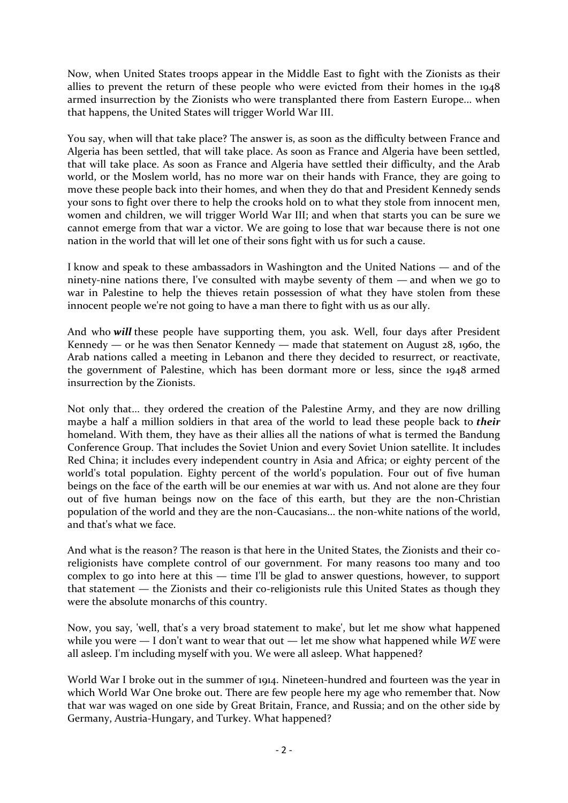Now, when United States troops appear in the Middle East to fight with the Zionists as their allies to prevent the return of these people who were evicted from their homes in the 1948 armed insurrection by the Zionists who were transplanted there from Eastern Europe... when that happens, the United States will trigger World War III.

You say, when will that take place? The answer is, as soon as the difficulty between France and Algeria has been settled, that will take place. As soon as France and Algeria have been settled, that will take place. As soon as France and Algeria have settled their difficulty, and the Arab world, or the Moslem world, has no more war on their hands with France, they are going to move these people back into their homes, and when they do that and President Kennedy sends your sons to fight over there to help the crooks hold on to what they stole from innocent men, women and children, we will trigger World War III; and when that starts you can be sure we cannot emerge from that war a victor. We are going to lose that war because there is not one nation in the world that will let one of their sons fight with us for such a cause.

I know and speak to these ambassadors in Washington and the United Nations — and of the ninety-nine nations there, I've consulted with maybe seventy of them — and when we go to war in Palestine to help the thieves retain possession of what they have stolen from these innocent people we're not going to have a man there to fight with us as our ally.

And who *will* these people have supporting them, you ask. Well, four days after President Kennedy — or he was then Senator Kennedy — made that statement on August 28, 1960, the Arab nations called a meeting in Lebanon and there they decided to resurrect, or reactivate, the government of Palestine, which has been dormant more or less, since the 1948 armed insurrection by the Zionists.

Not only that... they ordered the creation of the Palestine Army, and they are now drilling maybe a half a million soldiers in that area of the world to lead these people back to *their* homeland. With them, they have as their allies all the nations of what is termed the Bandung Conference Group. That includes the Soviet Union and every Soviet Union satellite. It includes Red China; it includes every independent country in Asia and Africa; or eighty percent of the world's total population. Eighty percent of the world's population. Four out of five human beings on the face of the earth will be our enemies at war with us. And not alone are they four out of five human beings now on the face of this earth, but they are the non-Christian population of the world and they are the non-Caucasians... the non-white nations of the world, and that's what we face.

And what is the reason? The reason is that here in the United States, the Zionists and their coreligionists have complete control of our government. For many reasons too many and too complex to go into here at this — time I'll be glad to answer questions, however, to support that statement — the Zionists and their co-religionists rule this United States as though they were the absolute monarchs of this country.

Now, you say, 'well, that's a very broad statement to make', but let me show what happened while you were — I don't want to wear that out — let me show what happened while *WE* were all asleep. I'm including myself with you. We were all asleep. What happened?

World War I broke out in the summer of 1914. Nineteen-hundred and fourteen was the year in which World War One broke out. There are few people here my age who remember that. Now that war was waged on one side by Great Britain, France, and Russia; and on the other side by Germany, Austria-Hungary, and Turkey. What happened?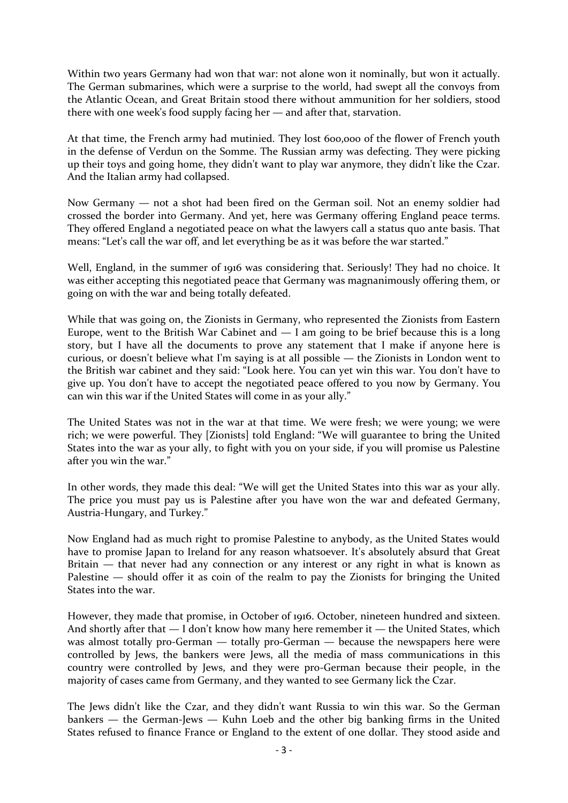Within two years Germany had won that war: not alone won it nominally, but won it actually. The German submarines, which were a surprise to the world, had swept all the convoys from the Atlantic Ocean, and Great Britain stood there without ammunition for her soldiers, stood there with one week's food supply facing her — and after that, starvation.

At that time, the French army had mutinied. They lost 600,000 of the flower of French youth in the defense of Verdun on the Somme. The Russian army was defecting. They were picking up their toys and going home, they didn't want to play war anymore, they didn't like the Czar. And the Italian army had collapsed.

Now Germany — not a shot had been fired on the German soil. Not an enemy soldier had crossed the border into Germany. And yet, here was Germany offering England peace terms. They offered England a negotiated peace on what the lawyers call a status quo ante basis. That means: "Let's call the war off, and let everything be as it was before the war started."

Well, England, in the summer of 1916 was considering that. Seriously! They had no choice. It was either accepting this negotiated peace that Germany was magnanimously offering them, or going on with the war and being totally defeated.

While that was going on, the Zionists in Germany, who represented the Zionists from Eastern Europe, went to the British War Cabinet and  $-1$  am going to be brief because this is a long story, but I have all the documents to prove any statement that I make if anyone here is curious, or doesn't believe what I'm saying is at all possible — the Zionists in London went to the British war cabinet and they said: "Look here. You can yet win this war. You don't have to give up. You don't have to accept the negotiated peace offered to you now by Germany. You can win this war if the United States will come in as your ally."

The United States was not in the war at that time. We were fresh; we were young; we were rich; we were powerful. They [Zionists] told England: "We will guarantee to bring the United States into the war as your ally, to fight with you on your side, if you will promise us Palestine after you win the war."

In other words, they made this deal: "We will get the United States into this war as your ally. The price you must pay us is Palestine after you have won the war and defeated Germany, Austria-Hungary, and Turkey."

Now England had as much right to promise Palestine to anybody, as the United States would have to promise Japan to Ireland for any reason whatsoever. It's absolutely absurd that Great Britain — that never had any connection or any interest or any right in what is known as Palestine — should offer it as coin of the realm to pay the Zionists for bringing the United States into the war.

However, they made that promise, in October of 1916. October, nineteen hundred and sixteen. And shortly after that — I don't know how many here remember it — the United States, which was almost totally pro-German — totally pro-German — because the newspapers here were controlled by Jews, the bankers were Jews, all the media of mass communications in this country were controlled by Jews, and they were pro-German because their people, in the majority of cases came from Germany, and they wanted to see Germany lick the Czar.

The Jews didn't like the Czar, and they didn't want Russia to win this war. So the German bankers — the German-Jews — Kuhn Loeb and the other big banking firms in the United States refused to finance France or England to the extent of one dollar. They stood aside and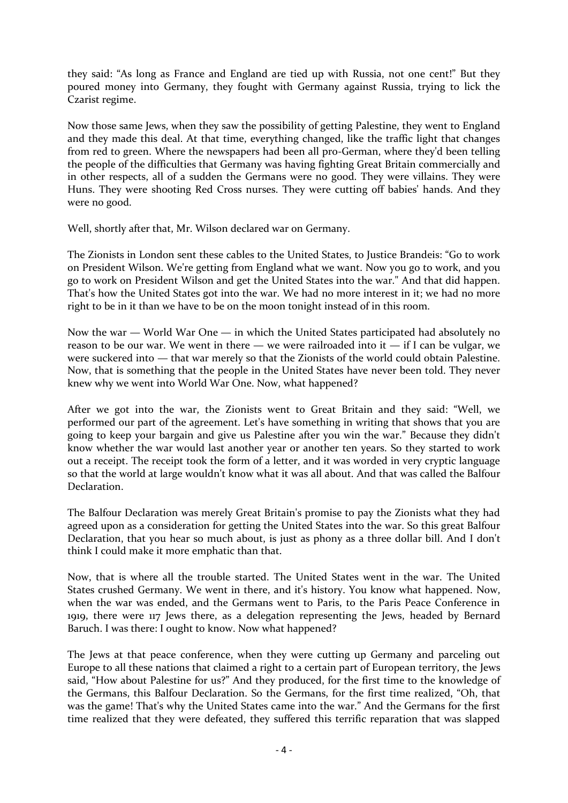they said: "As long as France and England are tied up with Russia, not one cent!" But they poured money into Germany, they fought with Germany against Russia, trying to lick the Czarist regime.

Now those same Jews, when they saw the possibility of getting Palestine, they went to England and they made this deal. At that time, everything changed, like the traffic light that changes from red to green. Where the newspapers had been all pro-German, where they'd been telling the people of the difficulties that Germany was having fighting Great Britain commercially and in other respects, all of a sudden the Germans were no good. They were villains. They were Huns. They were shooting Red Cross nurses. They were cutting off babies' hands. And they were no good.

Well, shortly after that, Mr. Wilson declared war on Germany.

The Zionists in London sent these cables to the United States, to Justice Brandeis: "Go to work on President Wilson. We're getting from England what we want. Now you go to work, and you go to work on President Wilson and get the United States into the war." And that did happen. That's how the United States got into the war. We had no more interest in it; we had no more right to be in it than we have to be on the moon tonight instead of in this room.

Now the war — [World War One](http://www.sweetliberty.org/issues/wars/wwi.htm) — in which the United States participated had absolutely no reason to be our war. We went in there — we were railroaded into it — if I can be vulgar, we were suckered into — that war merely so that the Zionists of the world could obtain Palestine. Now, that is something that the people in the United States have never been told. They never knew why we went into World War One. Now, what happened?

After we got into the war, the Zionists went to Great Britain and they said: "Well, we performed our part of the agreement. Let's have something in writing that shows that you are going to keep your bargain and give us Palestine after you win the war." Because they didn't know whether the war would last another year or another ten years. So they started to work out a receipt. The receipt took the form of a letter, and it was worded in very cryptic language so that the world at large wouldn't know what it was all about. And that was called the [Balfour](http://www.sweetliberty.org/issues/wars/balfour.htm)  [Declaration.](http://www.sweetliberty.org/issues/wars/balfour.htm)

The Balfour Declaration was merely Great Britain's promise to pay the Zionists what they had agreed upon as a consideration for getting the United States into the war. So this great Balfour Declaration, that you hear so much about, is just as phony as a three dollar bill. And I don't think I could make it more emphatic than that.

Now, that is where all the trouble started. The United States went in the war. The United States crushed Germany. We went in there, and it's history. You know what happened. Now, when the war was ended, and the Germans went to Paris, to the Paris Peace Conference in 1919, there were 117 Jews there, as a delegation representing the Jews, headed by Bernard Baruch. I was there: I ought to know. Now what happened?

The Jews at that peace conference, when they were cutting up Germany and parceling out Europe to all these nations that claimed a right to a certain part of European territory, the Jews said, "How about Palestine for us?" And they produced, for the first time to the knowledge of the Germans, this Balfour Declaration. So the Germans, for the first time realized, "Oh, that was the game! That's why the United States came into the war." And the Germans for the first time realized that they were defeated, they suffered this terrific reparation that was slapped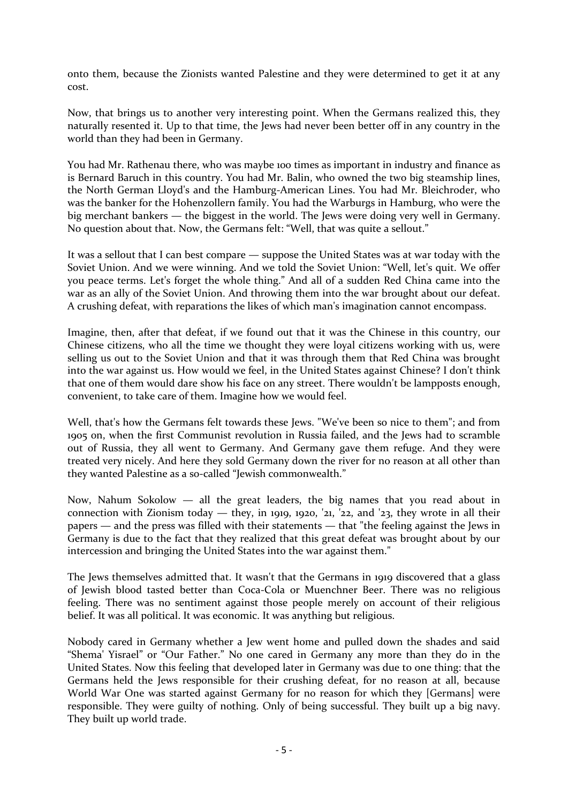onto them, because the Zionists wanted Palestine and they were determined to get it at any cost.

Now, that brings us to another very interesting point. When the Germans realized this, they naturally resented it. Up to that time, the Jews had never been better off in any country in the world than they had been in Germany.

You had Mr. Rathenau there, who was maybe 100 times as important in industry and finance as is Bernard Baruch in this country. You had Mr. Balin, who owned the two big steamship lines, the North German Lloyd's and the Hamburg-American Lines. You had Mr. Bleichroder, who was the banker for the Hohenzollern family. You had the Warburgs in Hamburg, who were the big merchant bankers — the biggest in the world. The Jews were doing very well in Germany. No question about that. Now, the Germans felt: "Well, that was quite a sellout."

It was a sellout that I can best compare — suppose the United States was at war today with the Soviet Union. And we were winning. And we told the Soviet Union: "Well, let's quit. We offer you peace terms. Let's forget the whole thing." And all of a sudden Red China came into the war as an ally of the Soviet Union. And throwing them into the war brought about our defeat. A crushing defeat, with reparations the likes of which man's imagination cannot encompass.

Imagine, then, after that defeat, if we found out that it was the Chinese in this country, our Chinese citizens, who all the time we thought they were loyal citizens working with us, were selling us out to the Soviet Union and that it was through them that Red China was brought into the war against us. How would we feel, in the United States against Chinese? I don't think that one of them would dare show his face on any street. There wouldn't be lampposts enough, convenient, to take care of them. Imagine how we would feel.

Well, that's how the Germans felt towards these Jews. "We've been so nice to them"; and from 1905 on, when the first Communist revolution in Russia failed, and the Jews had to scramble out of Russia, they all went to Germany. And Germany gave them refuge. And they were treated very nicely. And here they sold Germany down the river for no reason at all other than they wanted Palestine as a so-called "Jewish commonwealth."

Now, Nahum Sokolow — all the great leaders, the big names that you read about in connection with Zionism today  $-$  they, in 1919, 1920, '21, '22, and '23, they wrote in all their papers — and the press was filled with their statements — that "the feeling against the Jews in Germany is due to the fact that they realized that this great defeat was brought about by our intercession and bringing the United States into the war against them."

The Jews themselves admitted that. It wasn't that the Germans in 1919 discovered that a glass of Jewish blood tasted better than Coca-Cola or Muenchner Beer. There was no religious feeling. There was no sentiment against those people merely on account of their religious belief. It was all political. It was economic. It was anything but religious.

Nobody cared in Germany whether a Jew went home and pulled down the shades and said "Shema' Yisrael" or "Our Father." No one cared in Germany any more than they do in the United States. Now this feeling that developed later in Germany was due to one thing: that the Germans held the Jews responsible for their crushing defeat, for no reason at all, because World War One was started against Germany for no reason for which they [Germans] were responsible. They were guilty of nothing. Only of being successful. They built up a big navy. They built up world trade.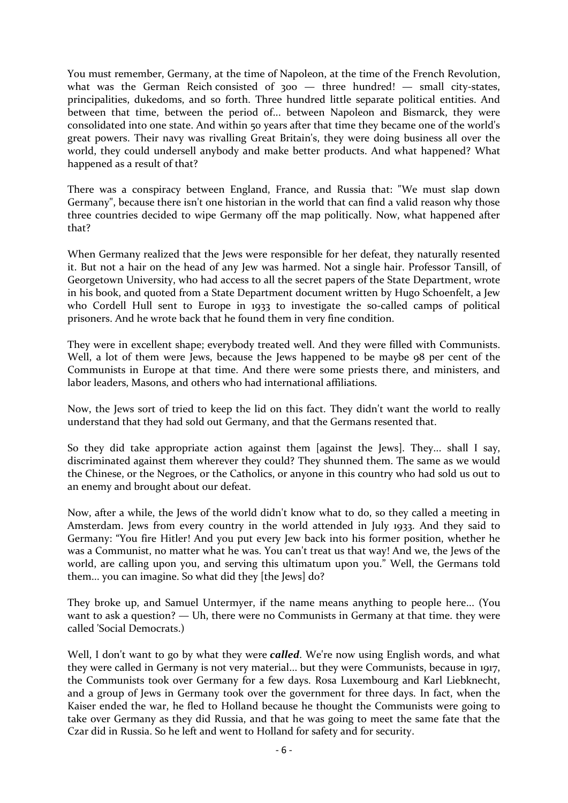You must remember, Germany, at the time of Napoleon, at the time of the French Revolution, what was the German Reich consisted of 300 — three hundred! — small city-states, principalities, dukedoms, and so forth. Three hundred little separate political entities. And between that time, between the period of... between Napoleon and Bismarck, they were consolidated into one state. And within 50 years after that time they became one of the world's great powers. Their navy was rivalling Great Britain's, they were doing business all over the world, they could undersell anybody and make better products. And what happened? What happened as a result of that?

There was a conspiracy between England, France, and Russia that: "We must slap down Germany", because there isn't one historian in the world that can find a valid reason why those three countries decided to wipe Germany off the map politically. Now, what happened after that?

When Germany realized that the Jews were responsible for her defeat, they naturally resented it. But not a hair on the head of any Jew was harmed. Not a single hair. Professor Tansill, of Georgetown University, who had access to all the secret papers of the State Department, wrote in his book, and quoted from a State Department document written by Hugo Schoenfelt, a Jew who Cordell Hull sent to Europe in 1933 to investigate the so-called camps of political prisoners. And he wrote back that he found them in very fine condition.

They were in excellent shape; everybody treated well. And they were filled with Communists. Well, a lot of them were Jews, because the Jews happened to be maybe 98 per cent of the Communists in Europe at that time. And there were some priests there, and ministers, and labor leaders, Masons, and others who had international affiliations.

Now, the Jews sort of tried to keep the lid on this fact. They didn't want the world to really understand that they had sold out Germany, and that the Germans resented that.

So they did take appropriate action against them [against the Jews]. They... shall I say, discriminated against them wherever they could? They shunned them. The same as we would the Chinese, or the Negroes, or the Catholics, or anyone in this country who had sold us out to an enemy and brought about our defeat.

Now, after a while, the Jews of the world didn't know what to do, so they called a meeting in Amsterdam. Jews from every country in the world attended in July 1933. And they said to Germany: "You fire Hitler! And you put every Jew back into his former position, whether he was a Communist, no matter what he was. You can't treat us that way! And we, the Jews of the world, are calling upon you, and serving this ultimatum upon you." Well, the Germans told them... you can imagine. So what did they [the Jews] do?

They broke up, and Samuel Untermyer, if the name means anything to people here... (You want to ask a question? — Uh, there were no Communists in Germany at that time. they were called 'Social Democrats.)

Well, I don't want to go by what they were *called*. We're now using English words, and what they were called in Germany is not very material... but they were Communists, because in 1917, the Communists took over Germany for a few days. Rosa Luxembourg and Karl Liebknecht, and a group of Jews in Germany took over the government for three days. In fact, when the Kaiser ended the war, he fled to Holland because he thought the Communists were going to take over Germany as they did Russia, and that he was going to meet the same fate that the Czar did in Russia. So he left and went to Holland for safety and for security.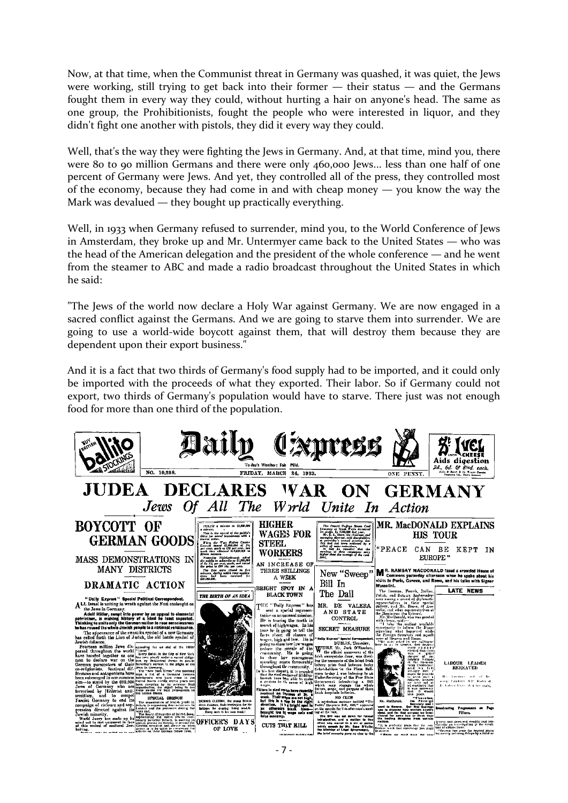Now, at that time, when the Communist threat in Germany was quashed, it was quiet, the Jews were working, still trying to get back into their former — their status — and the Germans fought them in every way they could, without hurting a hair on anyone's head. The same as one group, the Prohibitionists, fought the people who were interested in liquor, and they didn't fight one another with pistols, they did it every way they could.

Well, that's the way they were fighting the Jews in Germany. And, at that time, mind you, there were 80 to 90 million Germans and there were only 460,000 Jews... less than one half of one percent of Germany were Jews. And yet, they controlled all of the press, they controlled most of the economy, because they had come in and with cheap money — you know the way the Mark was devalued — they bought up practically everything.

Well, in 1933 when Germany refused to surrender, mind you, to the World Conference of Jews in Amsterdam, they broke up and Mr. [Untermyer](http://www.iamthewitness.com/doc/Samuel.Untermyers.speech.in.1933.htm) came back to the United States — who was the head of the American delegation and the president of the whole conference — and he went from the steamer to ABC and made a radio broadcast throughout the United States in which he said:

"The Jews of the world now declare a Holy War against Germany. We are now engaged in a sacred conflict against the Germans. And we are going to starve them into surrender. We are going to use a world-wide boycott against them, that will destroy them because they are dependent upon their export business."

And it is a fact that two thirds of Germany's food supply had to be imported, and it could only be imported with the proceeds of what they exported. Their labor. So if Germany could not export, two thirds of Germany's population would have to starve. There just was not enough food for more than one third of the population.

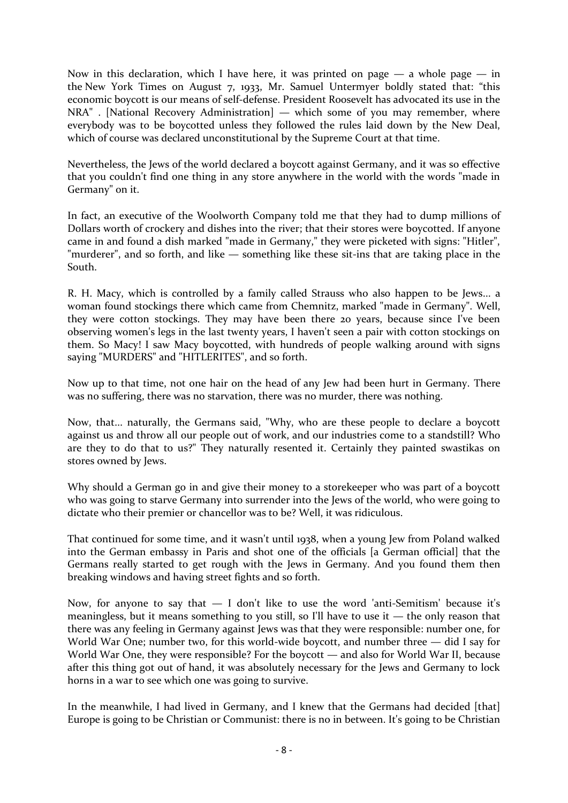Now in this declaration, which I have here, it was printed on page  $-$  a whole page  $-$  in the [New York Times on August 7, 1933,](http://www.iamthewitness.com/doc/Samuel.Untermyers.speech.in.1933.htm) Mr. Samuel Untermyer boldly stated that: "this economic boycott is our means of self-defense. President Roosevelt has advocated its use in the NRA" . [National Recovery Administration] — which some of you may remember, where everybody was to be boycotted unless they followed the rules laid down by the New Deal, which of course was declared unconstitutional by the Supreme Court at that time.

Nevertheless, the Jews of the world declared a boycott against Germany, and it was so effective that you couldn't find one thing in any store anywhere in the world with the words "made in Germany" on it.

In fact, an executive of the Woolworth Company told me that they had to dump millions of Dollars worth of crockery and dishes into the river; that their stores were boycotted. If anyone came in and found a dish marked "made in Germany," they were picketed with signs: "Hitler", "murderer", and so forth, and like — something like these sit-ins that are taking place in the South.

R. H. Macy, which is controlled by a family called Strauss who also happen to be Jews... a woman found stockings there which came from Chemnitz, marked "made in Germany". Well, they were cotton stockings. They may have been there 20 years, because since I've been observing women's legs in the last twenty years, I haven't seen a pair with cotton stockings on them. So Macy! I saw Macy boycotted, with hundreds of people walking around with signs saying "MURDERS" and "HITLERITES", and so forth.

Now up to that time, not one hair on the head of any Jew had been hurt in Germany. There was no suffering, there was no starvation, there was no murder, there was nothing.

Now, that... naturally, the Germans said, "Why, who are these people to declare a boycott against us and throw all our people out of work, and our industries come to a standstill? Who are they to do that to us?" They naturally resented it. Certainly they painted swastikas on stores owned by Jews.

Why should a German go in and give their money to a storekeeper who was part of a boycott who was going to starve Germany into surrender into the Jews of the world, who were going to dictate who their premier or chancellor was to be? Well, it was ridiculous.

That continued for some time, and it wasn't until 1938, when a young Jew from Poland walked into the German embassy in Paris and shot one of the officials [a German official] that the Germans really started to get rough with the Jews in Germany. And you found them then breaking windows and having street fights and so forth.

Now, for anyone to say that  $-1$  don't like to use the word 'anti-Semitism' because it's meaningless, but it means something to you still, so I'll have to use it — the only reason that there was any feeling in Germany against Jews was that they were responsible: number one, for World War One; number two, for this world-wide boycott, and number three — did I say for World War One, they were responsible? For the boycott — and also for World War II, because after this thing got out of hand, it was absolutely necessary for the Jews and Germany to lock horns in a war to see which one was going to survive.

In the meanwhile, I had lived in Germany, and I knew that the Germans had decided [that] Europe is going to be Christian or Communist: there is no in between. It's going to be Christian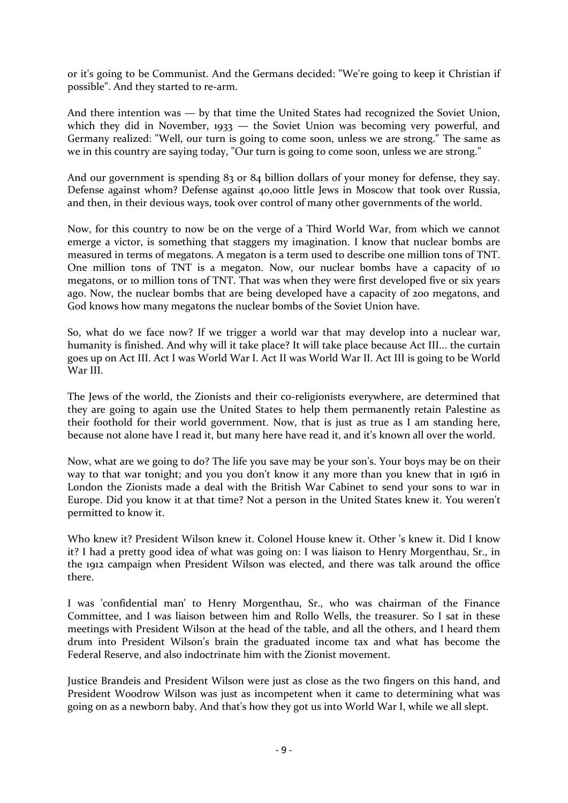or it's going to be Communist. And the Germans decided: "We're going to keep it Christian if possible". And they started to re-arm.

And there intention was — by that time the United States had recognized the Soviet Union, which they did in November, 1933 — the Soviet Union was becoming very powerful, and Germany realized: "Well, our turn is going to come soon, unless we are strong." The same as we in this country are saying today, "Our turn is going to come soon, unless we are strong."

And our government is spending 83 or 84 billion dollars of your money for defense, they say. Defense against whom? Defense against 40,000 little Jews in Moscow that took over Russia, and then, in their devious ways, took over control of many other governments of the world.

Now, for this country to now be on the verge of a Third World War, from which we cannot emerge a victor, is something that staggers my imagination. I know that nuclear bombs are measured in terms of megatons. A megaton is a term used to describe one million tons of TNT. One million tons of TNT is a megaton. Now, our nuclear bombs have a capacity of 10 megatons, or 10 million tons of TNT. That was when they were first developed five or six years ago. Now, the nuclear bombs that are being developed have a capacity of 200 megatons, and God knows how many megatons the nuclear bombs of the Soviet Union have.

So, what do we face now? If we trigger a world war that may develop into a nuclear war, humanity is finished. And why will it take place? It will take place because Act III... the curtain goes up on Act III. Act I was World War I. Act II was World War II. Act III is going to be World War III.

The Jews of the world, the Zionists and their co-religionists everywhere, are determined that they are going to again use the United States to help them permanently retain Palestine as their foothold for their world government. Now, that is just as true as I am standing here, because not alone have I read it, but many here have read it, and it's known all over the world.

Now, what are we going to do? The life you save may be your son's. Your boys may be on their way to that war tonight; and you you don't know it any more than you knew that in 1916 in London the Zionists made a deal with the British War Cabinet to send your sons to war in Europe. Did you know it at that time? Not a person in the United States knew it. You weren't permitted to know it.

Who knew it? President Wilson knew it. Colonel House knew it. Other 's knew it. Did I know it? I had a pretty good idea of what was going on: I was liaison to Henry Morgenthau, Sr., in the 1912 campaign when President Wilson was elected, and there was talk around the office there.

I was 'confidential man' to Henry Morgenthau, Sr., who was chairman of the Finance Committee, and I was liaison between him and Rollo Wells, the treasurer. So I sat in these meetings with President Wilson at the head of the table, and all the others, and I heard them drum into President Wilson's brain the graduated income tax and what has become the Federal Reserve, and also indoctrinate him with the Zionist movement.

Justice Brandeis and President Wilson were just as close as the two fingers on this hand, and President Woodrow Wilson was just as incompetent when it came to determining what was going on as a newborn baby. And that's how they got us into World War I, while we all slept.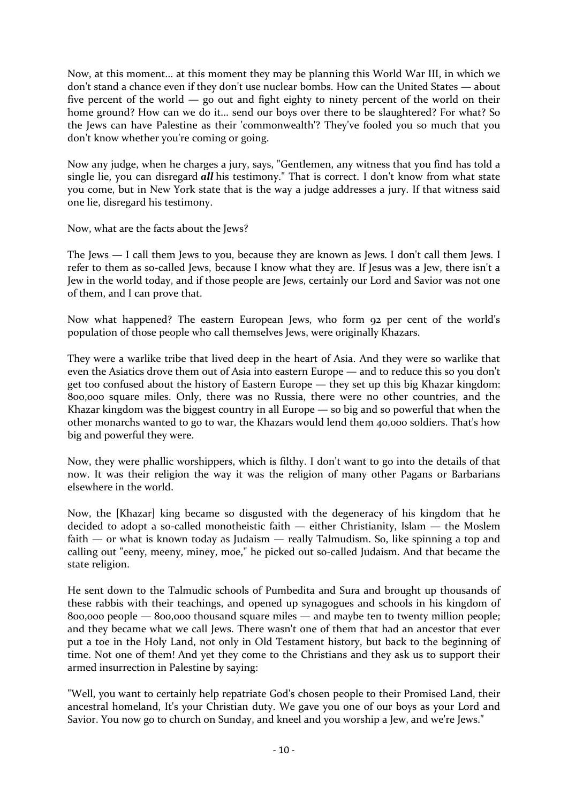Now, at this moment... at this moment they may be planning this World War III, in which we don't stand a chance even if they don't use nuclear bombs. How can the United States — about five percent of the world — go out and fight eighty to ninety percent of the world on their home ground? How can we do it... send our boys over there to be slaughtered? For what? So the Jews can have Palestine as their 'commonwealth'? They've fooled you so much that you don't know whether you're coming or going.

Now any judge, when he charges a jury, says, "Gentlemen, any witness that you find has told a single lie, you can disregard **all** his testimony." That is correct. I don't know from what state you come, but in New York state that is the way a judge addresses a jury. If that witness said one lie, disregard his testimony.

Now, what are the facts about the Jews?

The Jews — I call them Jews to you, because they are known as Jews. I don't call them Jews. I refer to them as so-called Jews, because I know what they are. If Jesus was a Jew, there isn't a Jew in the world today, and if those people are Jews, certainly our Lord and Savior was not one of them, and I can prove that.

Now what happened? The eastern European Jews, who form 92 per cent of the world's population of those people who call themselves Jews, were originally Khazars.

They were a warlike tribe that lived deep in the heart of Asia. And they were so warlike that even the Asiatics drove them out of Asia into eastern Europe — and to reduce this so you don't get too confused about the history of Eastern Europe — they set up this big Khazar kingdom: 800,000 square miles. Only, there was no Russia, there were no other countries, and the Khazar kingdom was the biggest country in all Europe — so big and so powerful that when the other monarchs wanted to go to war, the Khazars would lend them 40,000 soldiers. That's how big and powerful they were.

Now, they were phallic worshippers, which is filthy. I don't want to go into the details of that now. It was their religion the way it was the religion of many other Pagans or Barbarians elsewhere in the world.

Now, the [Khazar] king became so disgusted with the degeneracy of his kingdom that he decided to adopt a so-called monotheistic faith — either Christianity, Islam — the Moslem faith — or what is known today as Judaism — really Talmudism. So, like spinning a top and calling out "eeny, meeny, miney, moe," he picked out so-called Judaism. And that became the state religion.

He sent down to the Talmudic schools of Pumbedita and Sura and brought up thousands of these rabbis with their teachings, and opened up synagogues and schools in his kingdom of 800,000 people — 800,000 thousand square miles — and maybe ten to twenty million people; and they became what we call Jews. There wasn't one of them that had an ancestor that ever put a toe in the Holy Land, not only in Old Testament history, but back to the beginning of time. Not one of them! And yet they come to the Christians and they ask us to support their armed insurrection in Palestine by saying:

"Well, you want to certainly help repatriate God's chosen people to their Promised Land, their ancestral homeland, It's your Christian duty. We gave you one of our boys as your Lord and Savior. You now go to church on Sunday, and kneel and you worship a Jew, and we're Jews."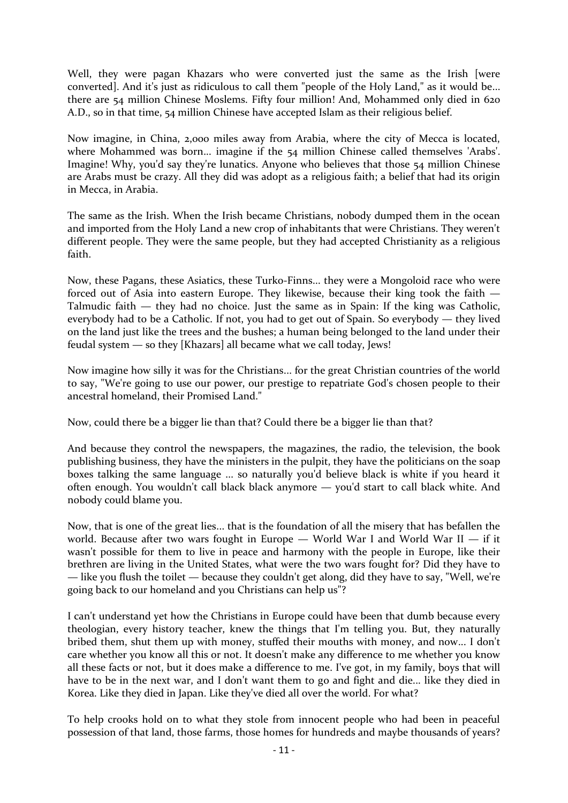Well, they were pagan Khazars who were converted just the same as the Irish [were converted]. And it's just as ridiculous to call them "people of the Holy Land," as it would be... there are 54 million Chinese Moslems. Fifty four million! And, Mohammed only died in 620 A.D., so in that time, 54 million Chinese have accepted Islam as their religious belief.

Now imagine, in China, 2,000 miles away from Arabia, where the city of Mecca is located, where Mohammed was born... imagine if the 54 million Chinese called themselves 'Arabs'. Imagine! Why, you'd say they're lunatics. Anyone who believes that those 54 million Chinese are Arabs must be crazy. All they did was adopt as a religious faith; a belief that had its origin in Mecca, in Arabia.

The same as the Irish. When the Irish became Christians, nobody dumped them in the ocean and imported from the Holy Land a new crop of inhabitants that were Christians. They weren't different people. They were the same people, but they had accepted Christianity as a religious faith.

Now, these Pagans, these Asiatics, these Turko-Finns... they were a Mongoloid race who were forced out of Asia into eastern Europe. They likewise, because their king took the faith — Talmudic faith — they had no choice. Just the same as in Spain: If the king was Catholic, everybody had to be a Catholic. If not, you had to get out of Spain. So everybody — they lived on the land just like the trees and the bushes; a human being belonged to the land under their feudal system — so they [Khazars] all became what we call today, Jews!

Now imagine how silly it was for the Christians... for the great Christian countries of the world to say, "We're going to use our power, our prestige to repatriate God's chosen people to their ancestral homeland, their Promised Land."

Now, could there be a bigger lie than that? Could there be a bigger lie than that?

And because they control the newspapers, the magazines, the radio, the television, the book publishing business, they have the ministers in the pulpit, they have the politicians on the soap boxes talking the same language ... so naturally you'd believe black is white if you heard it often enough. You wouldn't call black black anymore — you'd start to call black white. And nobody could blame you.

Now, that is one of the great lies... that is the foundation of all the misery that has befallen the world. Because after two wars fought in Europe — World War I and World War II — if it wasn't possible for them to live in peace and harmony with the people in Europe, like their brethren are living in the United States, what were the two wars fought for? Did they have to — like you flush the toilet — because they couldn't get along, did they have to say, "Well, we're going back to our homeland and you Christians can help us"?

I can't understand yet how the Christians in Europe could have been that dumb because every theologian, every history teacher, knew the things that I'm telling you. But, they naturally bribed them, shut them up with money, stuffed their mouths with money, and now... I don't care whether you know all this or not. It doesn't make any difference to me whether you know all these facts or not, but it does make a difference to me. I've got, in my family, boys that will have to be in the next war, and I don't want them to go and fight and die... like they died in Korea. Like they died in Japan. Like they've died all over the world. For what?

To help crooks hold on to what they stole from innocent people who had been in peaceful possession of that land, those farms, those homes for hundreds and maybe thousands of years?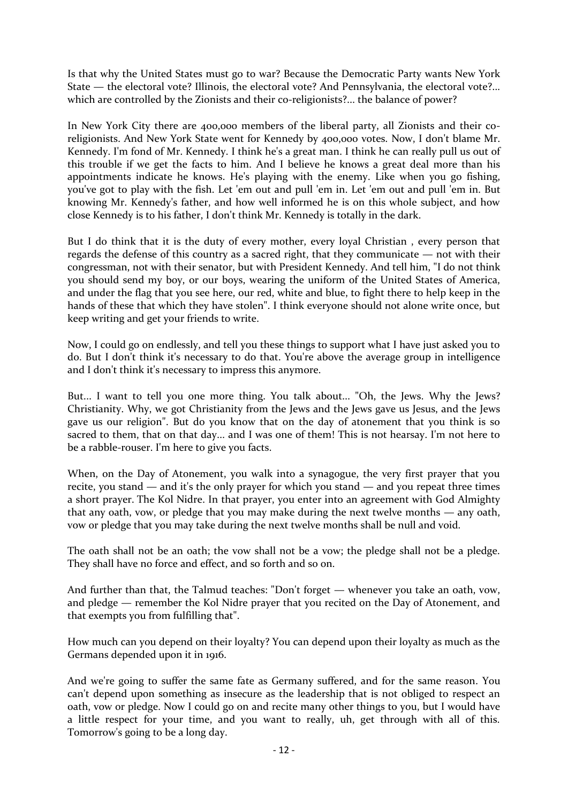Is that why the United States must go to war? Because the Democratic Party wants New York State — the electoral vote? Illinois, the electoral vote? And Pennsylvania, the electoral vote?... which are controlled by the Zionists and their co-religionists?... the balance of power?

In New York City there are 400,000 members of the liberal party, all Zionists and their coreligionists. And New York State went for Kennedy by 400,000 votes. Now, I don't blame Mr. Kennedy. I'm fond of Mr. Kennedy. I think he's a great man. I think he can really pull us out of this trouble if we get the facts to him. And I believe he knows a great deal more than his appointments indicate he knows. He's playing with the enemy. Like when you go fishing, you've got to play with the fish. Let 'em out and pull 'em in. Let 'em out and pull 'em in. But knowing Mr. Kennedy's father, and how well informed he is on this whole subject, and how close Kennedy is to his father, I don't think Mr. Kennedy is totally in the dark.

But I do think that it is the duty of every mother, every loyal Christian , every person that regards the defense of this country as a sacred right, that they communicate — not with their congressman, not with their senator, but with President Kennedy. And tell him, "I do not think you should send my boy, or our boys, wearing the uniform of the United States of America, and under the flag that you see here, our red, white and blue, to fight there to help keep in the hands of these that which they have stolen". I think everyone should not alone write once, but keep writing and get your friends to write.

Now, I could go on endlessly, and tell you these things to support what I have just asked you to do. But I don't think it's necessary to do that. You're above the average group in intelligence and I don't think it's necessary to impress this anymore.

But... I want to tell you one more thing. You talk about... "Oh, the Jews. Why the Jews? Christianity. Why, we got Christianity from the Jews and the Jews gave us Jesus, and the Jews gave us our religion". But do you know that on the day of atonement that you think is so sacred to them, that on that day... and I was one of them! This is not hearsay. I'm not here to be a rabble-rouser. I'm here to give you facts.

When, on the Day of Atonement, you walk into a synagogue, the very first prayer that you recite, you stand — and it's the only prayer for which you stand — and you repeat three times a short prayer. [The Kol Nidre.](http://www.sweetliberty.org/issues/israel/kolnidre.htm) In that prayer, you enter into an agreement with God Almighty that any oath, vow, or pledge that you may make during the next twelve months — any oath, vow or pledge that you may take during the next twelve months shall be null and void.

The oath shall not be an oath; the vow shall not be a vow; the pledge shall not be a pledge. They shall have no force and effect, and so forth and so on.

And further than that, the Talmud teaches: "Don't forget — whenever you take an oath, vow, and pledge — remember the Kol Nidre prayer that you recited on the Day of Atonement, and that exempts you from fulfilling that".

How much can you depend on their loyalty? You can depend upon their loyalty as much as the Germans depended upon it in 1916.

And we're going to suffer the same fate as Germany suffered, and for the same reason. You can't depend upon something as insecure as the leadership that is not obliged to respect an oath, vow or pledge. Now I could go on and recite many other things to you, but I would have a little respect for your time, and you want to really, uh, get through with all of this. Tomorrow's going to be a long day.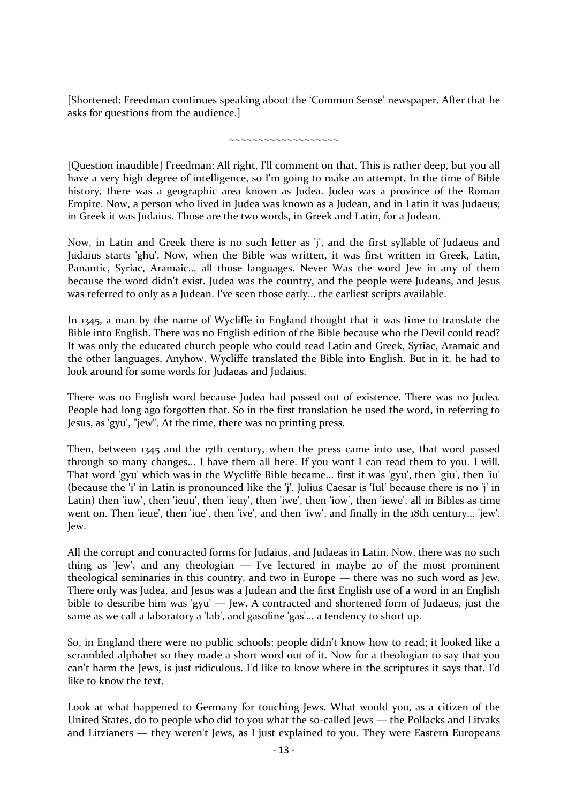[Shortened: Freedman continues speaking about the 'Common Sense' newspaper. After that he asks for questions from the audience.]

~~~~~~~~~~~~~~~~~~~

[Question inaudible] Freedman: All right, I'll comment on that. This is rather deep, but you all have a very high degree of intelligence, so I'm going to make an attempt. In the time of Bible history, there was a geographic area known as Judea. Judea was a province of the Roman Empire. Now, a person who lived in Judea was known as a Judean, and in Latin it was Judaeus; in Greek it was Judaius. Those are the two words, in Greek and Latin, for a Judean.

Now, in Latin and Greek there is no such letter as 'j', and the first syllable of Judaeus and Judaius starts 'ghu'. Now, when the Bible was written, it was first written in Greek, Latin, Panantic, Syriac, Aramaic... all those languages. Never Was the word Jew in any of them because the word didn't exist. Judea was the country, and the people were Judeans, and Jesus was referred to only as a Judean. I've seen those early... the earliest scripts available.

In 1345, a man by the name of Wycliffe in England thought that it was time to translate the Bible into English. There was no English edition of the Bible because who the Devil could read? It was only the educated church people who could read Latin and Greek, Syriac, Aramaic and the other languages. Anyhow, Wycliffe translated the Bible into English. But in it, he had to look around for some words for Judaeas and Judaius.

There was no English word because Judea had passed out of existence. There was no Judea. People had long ago forgotten that. So in the first translation he used the word, in referring to Jesus, as 'gyu', "jew". At the time, there was no printing press.

Then, between 1345 and the 17th century, when the press came into use, that word passed through so many changes... I have them all here. If you want I can read them to you. I will. That word 'gyu' which was in the Wycliffe Bible became... first it was 'gyu', then 'giu', then 'iu' (because the 'i' in Latin is pronounced like the 'j'. Julius Caesar is 'Iul' because there is no 'j' in Latin) then 'iuw', then 'ieuu', then 'ieuy', then 'iwe', then 'iow', then 'iewe', all in Bibles as time went on. Then 'ieue', then 'iue', then 'ive', and then 'ivw', and finally in the 18th century... 'jew'. Jew.

All the corrupt and contracted forms for Judaius, and Judaeas in Latin. Now, there was no such thing as 'Jew', and any theologian — I've lectured in maybe 20 of the most prominent theological seminaries in this country, and two in Europe — there was no such word as Jew. There only was Judea, and Jesus was a Judean and the first English use of a word in an English bible to describe him was 'gyu' — Jew. A contracted and shortened form of Judaeus, just the same as we call a laboratory a 'lab', and gasoline 'gas'... a tendency to short up.

So, in England there were no public schools; people didn't know how to read; it looked like a scrambled alphabet so they made a short word out of it. Now for a theologian to say that you can't harm the Jews, is just ridiculous. I'd like to know where in the scriptures it says that. I'd like to know the text.

Look at what happened to Germany for touching Jews. What would you, as a citizen of the United States, do to people who did to you what the so-called Jews — the Pollacks and Litvaks and Litzianers — they weren't Jews, as I just explained to you. They were Eastern Europeans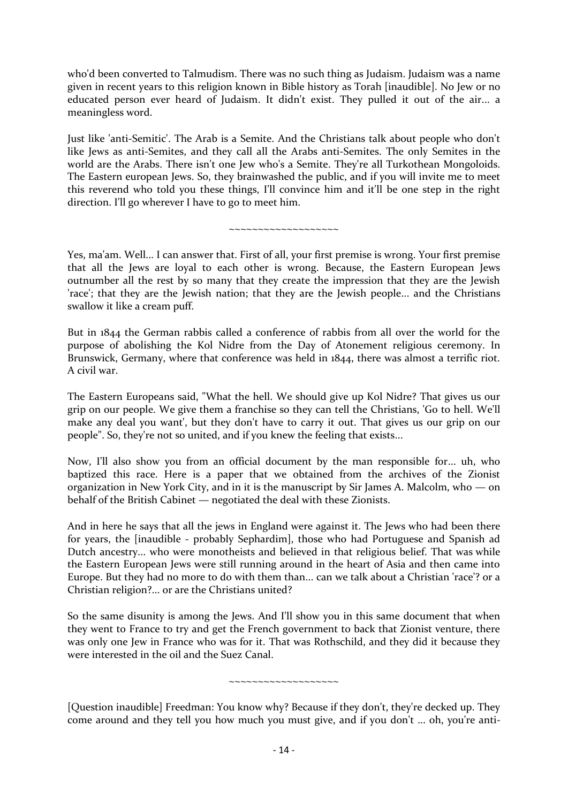who'd been converted to Talmudism. There was no such thing as Judaism. Judaism was a name given in recent years to this religion known in Bible history as Torah [inaudible]. No Jew or no educated person ever heard of Judaism. It didn't exist. They pulled it out of the air... a meaningless word.

Just like 'anti-Semitic'. The Arab is a Semite. And the Christians talk about people who don't like Jews as anti-Semites, and they call all the Arabs anti-Semites. The only Semites in the world are the Arabs. There isn't one Jew who's a Semite. They're all Turkothean Mongoloids. The Eastern european Jews. So, they brainwashed the public, and if you will invite me to meet this reverend who told you these things, I'll convince him and it'll be one step in the right direction. I'll go wherever I have to go to meet him.

~~~~~~~~~~~~~~~~~~~

Yes, ma'am. Well... I can answer that. First of all, your first premise is wrong. Your first premise that all the Jews are loyal to each other is wrong. Because, the Eastern European Jews outnumber all the rest by so many that they create the impression that they are the Jewish 'race'; that they are the Jewish nation; that they are the Jewish people... and the Christians swallow it like a cream puff.

But in 1844 the German rabbis called a conference of rabbis from all over the world for the purpose of abolishing the Kol Nidre from the Day of Atonement religious ceremony. In Brunswick, Germany, where that conference was held in 1844, there was almost a terrific riot. A civil war.

The Eastern Europeans said, "What the hell. We should give up Kol Nidre? That gives us our grip on our people. We give them a franchise so they can tell the Christians, 'Go to hell. We'll make any deal you want', but they don't have to carry it out. That gives us our grip on our people". So, they're not so united, and if you knew the feeling that exists...

Now, I'll also show you from an official document by the man responsible for... uh, who baptized this race. Here is a paper that we obtained from the archives of the Zionist organization in New York City, and in it is the manuscript by Sir James A. Malcolm, who — on behalf of the British Cabinet — negotiated the deal with these Zionists.

And in here he says that all the jews in England were against it. The Jews who had been there for years, the [inaudible - probably Sephardim], those who had Portuguese and Spanish ad Dutch ancestry... who were monotheists and believed in that religious belief. That was while the Eastern European Jews were still running around in the heart of Asia and then came into Europe. But they had no more to do with them than... can we talk about a Christian 'race'? or a Christian religion?... or are the Christians united?

So the same disunity is among the Jews. And I'll show you in this same document that when they went to France to try and get the French government to back that Zionist venture, there was only one Jew in France who was for it. That was Rothschild, and they did it because they were interested in the oil and the Suez Canal.

## ~~~~~~~~~~~~~~~~~~~

[Question inaudible] Freedman: You know why? Because if they don't, they're decked up. They come around and they tell you how much you must give, and if you don't ... oh, you're anti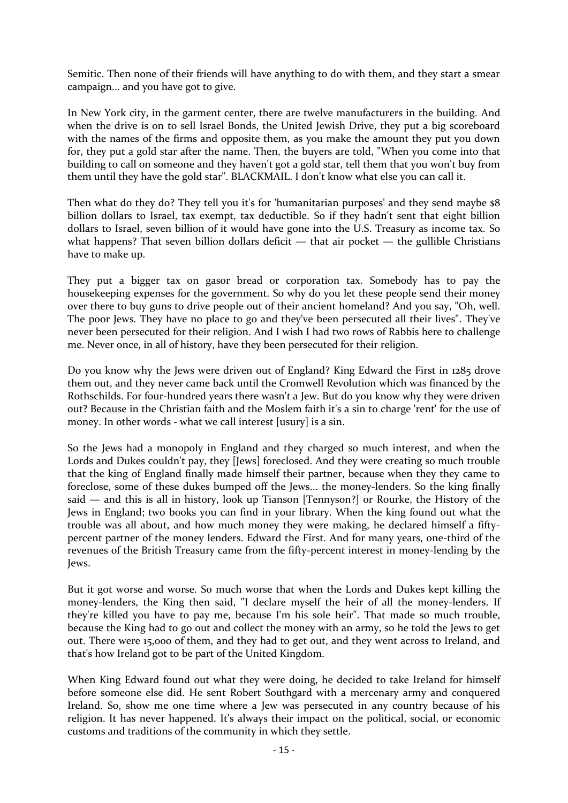Semitic. Then none of their friends will have anything to do with them, and they start a smear campaign... and you have got to give.

In New York city, in the garment center, there are twelve manufacturers in the building. And when the drive is on to sell Israel Bonds, the United Jewish Drive, they put a big scoreboard with the names of the firms and opposite them, as you make the amount they put you down for, they put a gold star after the name. Then, the buyers are told, "When you come into that building to call on someone and they haven't got a gold star, tell them that you won't buy from them until they have the gold star". BLACKMAIL. I don't know what else you can call it.

Then what do they do? They tell you it's for 'humanitarian purposes' and they send maybe \$8 billion dollars to Israel, tax exempt, tax deductible. So if they hadn't sent that eight billion dollars to Israel, seven billion of it would have gone into the U.S. Treasury as income tax. So what happens? That seven billion dollars deficit  $-$  that air pocket  $-$  the gullible Christians have to make up.

They put a bigger tax on gasor bread or corporation tax. Somebody has to pay the housekeeping expenses for the government. So why do you let these people send their money over there to buy guns to drive people out of their ancient homeland? And you say, "Oh, well. The poor Jews. They have no place to go and they've been persecuted all their lives". They've never been persecuted for their religion. And I wish I had two rows of Rabbis here to challenge me. Never once, in all of history, have they been persecuted for their religion.

Do you know why the Jews were driven out of England? King Edward the First in 1285 drove them out, and they never came back until the Cromwell Revolution which was financed by the Rothschilds. For four-hundred years there wasn't a Jew. But do you know why they were driven out? Because in the Christian faith and the Moslem faith it's a sin to charge 'rent' for the use of money. In other words - what we call interest [usury] is a sin.

So the Jews had a monopoly in England and they charged so much interest, and when the Lords and Dukes couldn't pay, they [Jews] foreclosed. And they were creating so much trouble that the king of England finally made himself their partner, because when they they came to foreclose, some of these dukes bumped off the Jews... the money-lenders. So the king finally said — and this is all in history, look up Tianson [Tennyson?] or Rourke, the History of the Jews in England; two books you can find in your library. When the king found out what the trouble was all about, and how much money they were making, he declared himself a fiftypercent partner of the money lenders. Edward the First. And for many years, one-third of the revenues of the British Treasury came from the fifty-percent interest in money-lending by the Jews.

But it got worse and worse. So much worse that when the Lords and Dukes kept killing the money-lenders, the King then said, "I declare myself the heir of all the money-lenders. If they're killed you have to pay me, because I'm his sole heir". That made so much trouble, because the King had to go out and collect the money with an army, so he told the Jews to get out. There were 15,000 of them, and they had to get out, and they went across to Ireland, and that's how Ireland got to be part of the United Kingdom.

When King Edward found out what they were doing, he decided to take Ireland for himself before someone else did. He sent Robert Southgard with a mercenary army and conquered Ireland. So, show me one time where a Jew was persecuted in any country because of his religion. It has never happened. It's always their impact on the political, social, or economic customs and traditions of the community in which they settle.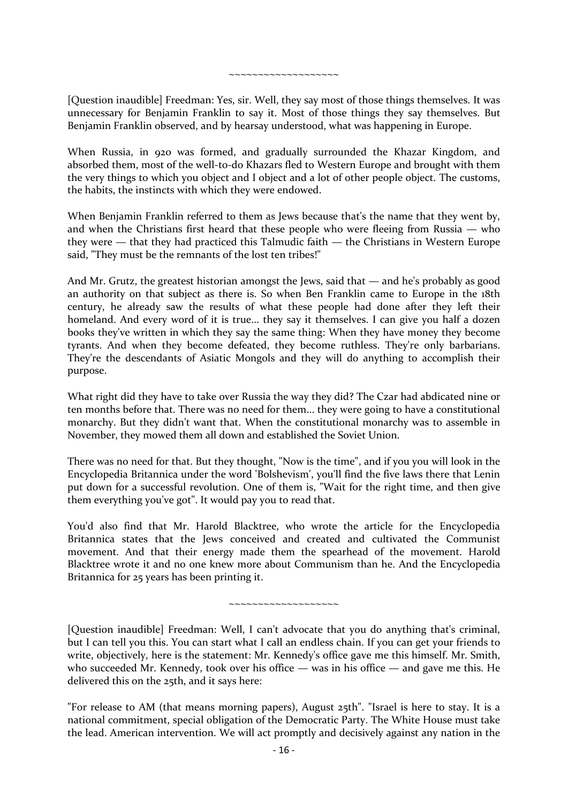[Question inaudible] Freedman: Yes, sir. Well, they say most of those things themselves. It was unnecessary for Benjamin Franklin to say it. Most of those things they say themselves. But Benjamin Franklin observed, and by hearsay understood, what was happening in Europe.

When Russia, in 920 was formed, and gradually surrounded the Khazar Kingdom, and absorbed them, most of the well-to-do Khazars fled to Western Europe and brought with them the very things to which you object and I object and a lot of other people object. The customs, the habits, the instincts with which they were endowed.

When Benjamin Franklin referred to them as Jews because that's the name that they went by, and when the Christians first heard that these people who were fleeing from Russia — who they were — that they had practiced this Talmudic faith — the Christians in Western Europe said, "They must be the remnants of the lost ten tribes!"

And Mr. Grutz, the greatest historian amongst the Jews, said that — and he's probably as good an authority on that subject as there is. So when Ben Franklin came to Europe in the 18th century, he already saw the results of what these people had done after they left their homeland. And every word of it is true... they say it themselves. I can give you half a dozen books they've written in which they say the same thing: When they have money they become tyrants. And when they become defeated, they become ruthless. They're only barbarians. They're the descendants of Asiatic Mongols and they will do anything to accomplish their purpose.

What right did they have to take over Russia the way they did? The Czar had abdicated nine or ten months before that. There was no need for them... they were going to have a constitutional monarchy. But they didn't want that. When the constitutional monarchy was to assemble in November, they mowed them all down and established the Soviet Union.

There was no need for that. But they thought, "Now is the time", and if you you will look in the Encyclopedia Britannica under the word 'Bolshevism', you'll find the five laws there that Lenin put down for a successful revolution. One of them is, "Wait for the right time, and then give them everything you've got". It would pay you to read that.

You'd also find that Mr. Harold Blacktree, who wrote the article for the Encyclopedia Britannica states that the Jews conceived and created and cultivated the Communist movement. And that their energy made them the spearhead of the movement. Harold Blacktree wrote it and no one knew more about Communism than he. And the Encyclopedia Britannica for 25 years has been printing it.

~~~~~~~~~~~~~~~~~~~

[Question inaudible] Freedman: Well, I can't advocate that you do anything that's criminal, but I can tell you this. You can start what I call an endless chain. If you can get your friends to write, objectively, here is the statement: Mr. Kennedy's office gave me this himself. Mr. Smith, who succeeded Mr. Kennedy, took over his office — was in his office — and gave me this. He delivered this on the 25th, and it says here:

"For release to AM (that means morning papers), August 25th". "Israel is here to stay. It is a national commitment, special obligation of the Democratic Party. The White House must take the lead. American intervention. We will act promptly and decisively against any nation in the